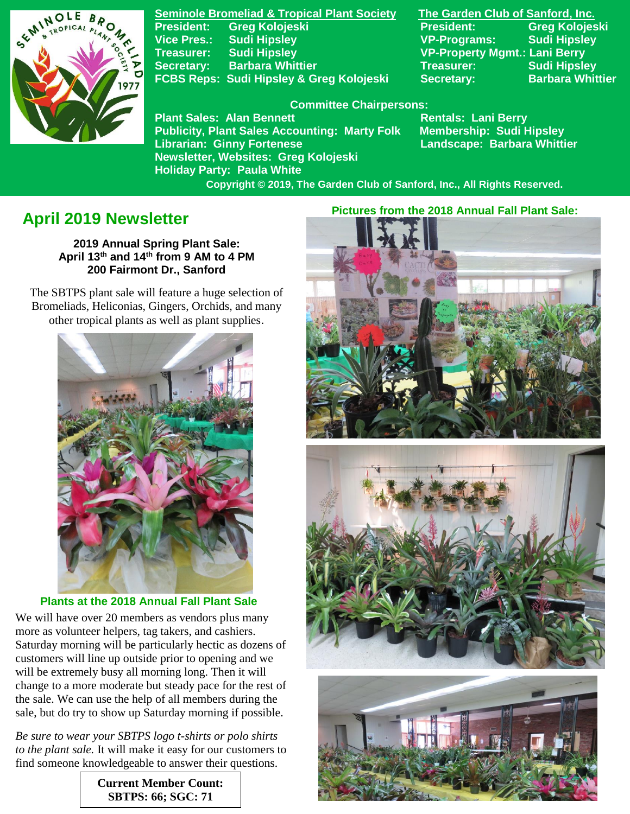

**Seminole Bromeliad & Tropical Plant Society The Garden Club of Sanford, Inc. President: Greg Kolojeski President: Greg Kolojeski Vice Pres.: Sudi Hipsley VP-Programs: Sudi Hipsley Treasurer: Sudi Hipsley VP-Property Mgmt.: Lani Berry Secretary:** Barbara Whittier **Network Sudi Hipsley Treasurer:** Sudi Hipsley **FCBS Reps: Sudi Hipsley & Greg Kolojeski Secretary: Barbara Whittier** 

#### **Committee Chairpersons:**

**Plant Sales: Alan Bennett** Rentals: Lani Berry **Publicity, Plant Sales Accounting: Marty Folk Membership: Sudi Hipsley Librarian: Ginny Fortenese Landscape: Barbara Whittier Newsletter, Websites: Greg Kolojeski Holiday Party: Paula White** 

 **Copyright © 2019, The Garden Club of Sanford, Inc., All Rights Reserved.**

# **April 2019 Newsletter**

**2019 Annual Spring Plant Sale: April 13th and 14th from 9 AM to 4 PM 200 Fairmont Dr., Sanford**

 The SBTPS plant sale will feature a huge selection of Bromeliads, Heliconias, Gingers, Orchids, and many other tropical plants as well as plant supplies.



**Plants at the 2018 Annual Fall Plant Sale**

We will have over 20 members as vendors plus many more as volunteer helpers, tag takers, and cashiers. Saturday morning will be particularly hectic as dozens of customers will line up outside prior to opening and we will be extremely busy all morning long. Then it will change to a more moderate but steady pace for the rest of the sale. We can use the help of all members during the sale, but do try to show up Saturday morning if possible.

*Be sure to wear your SBTPS logo t-shirts or polo shirts to the plant sale.* It will make it easy for our customers to find someone knowledgeable to answer their questions.

> **Current Member Count: SBTPS: 66; SGC: 71**

 **Pictures from the 2018 Annual Fall Plant Sale:**